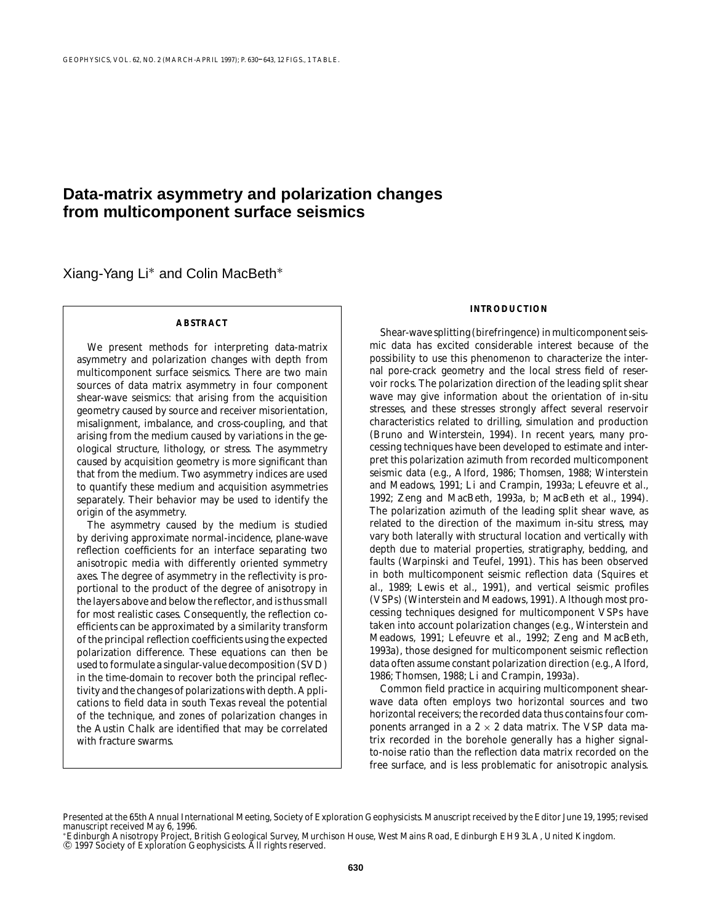# **Data-matrix asymmetry and polarization changes from multicomponent surface seismics**

Xiang-Yang Li∗ and Colin MacBeth∗

## **ABSTRACT**

We present methods for interpreting data-matrix asymmetry and polarization changes with depth from multicomponent surface seismics. There are two main sources of data matrix asymmetry in four component shear-wave seismics: that arising from the acquisition geometry caused by source and receiver misorientation, misalignment, imbalance, and cross-coupling, and that arising from the medium caused by variations in the geological structure, lithology, or stress. The asymmetry caused by acquisition geometry is more significant than that from the medium. Two asymmetry indices are used to quantify these medium and acquisition asymmetries separately. Their behavior may be used to identify the origin of the asymmetry.

The asymmetry caused by the medium is studied by deriving approximate normal-incidence, plane-wave reflection coefficients for an interface separating two anisotropic media with differently oriented symmetry axes. The degree of asymmetry in the reflectivity is proportional to the product of the degree of anisotropy in the layers above and below the reflector, and is thus small for most realistic cases. Consequently, the reflection coefficients can be approximated by a similarity transform of the principal reflection coefficients using the expected polarization difference. These equations can then be used to formulate a singular-value decomposition (SVD) in the time-domain to recover both the principal reflectivity and the changes of polarizations with depth. Applications to field data in south Texas reveal the potential of the technique, and zones of polarization changes in the Austin Chalk are identified that may be correlated with fracture swarms.

## **INTRODUCTION**

Shear-wave splitting (birefringence) in multicomponent seismic data has excited considerable interest because of the possibility to use this phenomenon to characterize the internal pore-crack geometry and the local stress field of reservoir rocks. The polarization direction of the leading split shear wave may give information about the orientation of in-situ stresses, and these stresses strongly affect several reservoir characteristics related to drilling, simulation and production (Bruno and Winterstein, 1994). In recent years, many processing techniques have been developed to estimate and interpret this polarization azimuth from recorded multicomponent seismic data (e.g., Alford, 1986; Thomsen, 1988; Winterstein and Meadows, 1991; Li and Crampin, 1993a; Lefeuvre et al., 1992; Zeng and MacBeth, 1993a, b; MacBeth et al., 1994). The polarization azimuth of the leading split shear wave, as related to the direction of the maximum in-situ stress, may vary both laterally with structural location and vertically with depth due to material properties, stratigraphy, bedding, and faults (Warpinski and Teufel, 1991). This has been observed in both multicomponent seismic reflection data (Squires et al., 1989; Lewis et al., 1991), and vertical seismic profiles (VSPs) (Winterstein and Meadows, 1991). Although most processing techniques designed for multicomponent VSPs have taken into account polarization changes (e.g., Winterstein and Meadows, 1991; Lefeuvre et al., 1992; Zeng and MacBeth, 1993a), those designed for multicomponent seismic reflection data often assume constant polarization direction (e.g., Alford, 1986; Thomsen, 1988; Li and Crampin, 1993a).

Common field practice in acquiring multicomponent shearwave data often employs two horizontal sources and two horizontal receivers; the recorded data thus contains four components arranged in a  $2 \times 2$  data matrix. The VSP data matrix recorded in the borehole generally has a higher signalto-noise ratio than the reflection data matrix recorded on the free surface, and is less problematic for anisotropic analysis.

Presented at the 65th Annual International Meeting, Society of Exploration Geophysicists. Manuscript received by the Editor June 19, 1995; revised manuscript received May 6, 1996.

<sup>∗</sup>Edinburgh Anisotropy Project, British Geological Survey, Murchison House, West Mains Road, Edinburgh EH9 3LA, United Kingdom. © 1997 Society of Exploration Geophysicists. All rights reserved.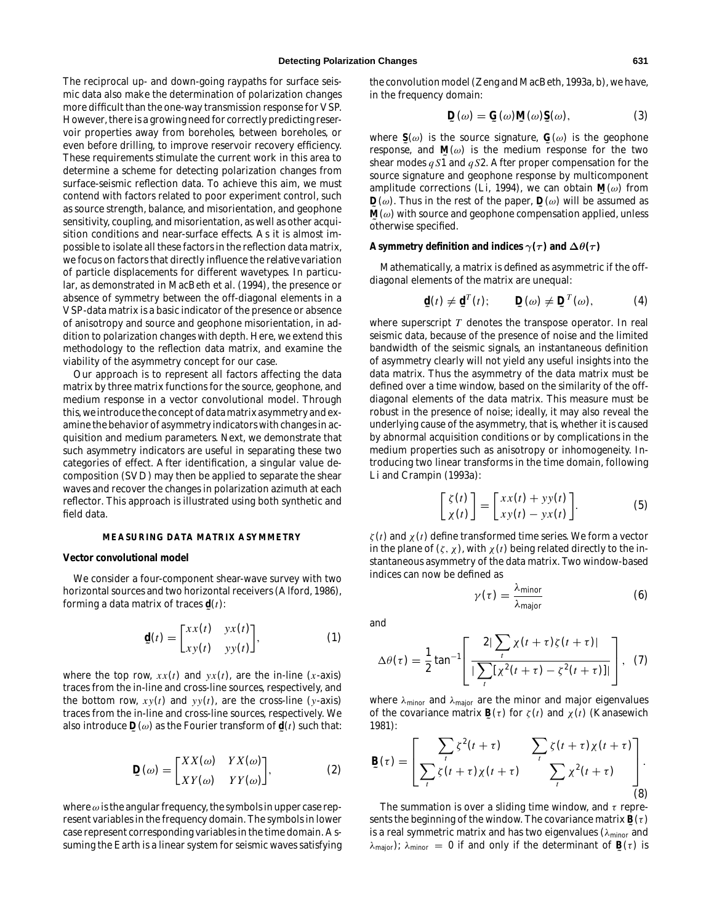The reciprocal up- and down-going raypaths for surface seismic data also make the determination of polarization changes more difficult than the one-way transmission response for VSP. However, there is a growing need for correctly predicting reservoir properties away from boreholes, between boreholes, or even before drilling, to improve reservoir recovery efficiency. These requirements stimulate the current work in this area to determine a scheme for detecting polarization changes from surface-seismic reflection data. To achieve this aim, we must contend with factors related to poor experiment control, such as source strength, balance, and misorientation, and geophone sensitivity, coupling, and misorientation, as well as other acquisition conditions and near-surface effects. As it is almost impossible to isolate all these factors in the reflection data matrix, we focus on factors that directly influence the *relative* variation of particle displacements for different wavetypes. In particular, as demonstrated in MacBeth et al. (1994), the presence or absence of symmetry between the off-diagonal elements in a VSP-data matrix is a basic indicator of the presence or absence of anisotropy and source and geophone misorientation, in addition to polarization changes with depth. Here, we extend this methodology to the reflection data matrix, and examine the viability of the asymmetry concept for our case.

Our approach is to represent all factors affecting the data matrix by three matrix functions for the source, geophone, and medium response in a vector convolutional model. Through this, we introduce the concept of data matrix asymmetry and examine the behavior of asymmetry indicators with changes in acquisition and medium parameters. Next, we demonstrate that such asymmetry indicators are useful in separating these two categories of effect. After identification, a singular value decomposition (SVD) may then be applied to separate the shear waves and recover the changes in polarization azimuth at each reflector. This approach is illustrated using both synthetic and field data.

## **MEASURING DATA MATRIX ASYMMETRY**

## **Vector convolutional model**

We consider a four-component shear-wave survey with two horizontal sources and two horizontal receivers (Alford, 1986), forming a data matrix of traces **˜ d**(*t*):

$$
\mathbf{d}(t) = \begin{bmatrix} xx(t) & yx(t) \\ xy(t) & yy(t) \end{bmatrix}, \tag{1}
$$

where the top row,  $xx(t)$  and  $yx(t)$ , are the in-line (*x*-axis) traces from the in-line and cross-line sources, respectively, and the bottom row,  $xy(t)$  and  $yy(t)$ , are the cross-line (*y*-axis) traces from the in-line and cross-line sources, respectively. We also introduce  $\mathbf{D}(\omega)$  as the Fourier transform of  $\mathbf{d}(t)$  such that:

$$
\mathbf{D}(\omega) = \begin{bmatrix} XX(\omega) & YX(\omega) \\ XY(\omega) & YY(\omega) \end{bmatrix},
$$
 (2)

where  $\omega$  is the angular frequency, the symbols in upper case represent variables in the frequency domain. The symbols in lower case represent corresponding variables in the time domain. Assuming the Earth is a linear system for seismic waves satisfying

the convolution model (Zeng and MacBeth, 1993a, b), we have, in the frequency domain:

$$
\mathbf{D}(\omega) = \mathbf{G}(\omega)\mathbf{M}(\omega)\mathbf{S}(\omega),\tag{3}
$$

where  $\mathbf{S}(\omega)$  is the source signature,  $\mathbf{G}(\omega)$  is the geophone<br>response and  $\mathbf{M}(\omega)$  is the modium response for the two response, and  $\mathbf{M}(\omega)$  is the medium response for the two<br>chaar modes as  $\overline{\mathbf{M}}$  and as 2. After proper componention for the shear modes *q S*1 and *q S*2. After proper compensation for the source signature and geophone response by multicomponent amplitude corrections (Li, 1994), we can obtain  $\mathbf{M}(\omega)$  from  $\mathbf{D}(\omega)$  Thus in the rest of the paper  $\mathbf{D}(\omega)$  will be assumed as  $\mathbf{M}(\omega)$  with source and geophone compensation applied, unless  $\mathbf{D}(\omega)$ . Thus in the rest of the paper,  $\mathbf{D}(\omega)$  will be assumed as  $\mathbf{M}(\omega)$  with source and geophone componention applied unless **˜** otherwise specified.

#### **Asymmetry definition and indices**  $\gamma(\tau)$  and  $\Delta\theta(\tau)$

Mathematically, a matrix is defined as asymmetric if the offdiagonal elements of the matrix are unequal:

$$
\mathbf{\underline{d}}(t) \neq \mathbf{\underline{d}}^T(t); \qquad \mathbf{\underline{D}}(\omega) \neq \mathbf{\underline{D}}^T(\omega), \tag{4}
$$

where superscript *T* denotes the transpose operator. In real seismic data, because of the presence of noise and the limited bandwidth of the seismic signals, an instantaneous definition of asymmetry clearly will not yield any useful insights into the data matrix. Thus the asymmetry of the data matrix must be defined over a time window, based on the similarity of the offdiagonal elements of the data matrix. This measure must be robust in the presence of noise; ideally, it may also reveal the underlying cause of the asymmetry, that is, whether it is caused by abnormal acquisition conditions or by complications in the medium properties such as anisotropy or inhomogeneity. Introducing two linear transforms in the time domain, following Li and Crampin (1993a):

$$
\begin{bmatrix} \zeta(t) \\ \chi(t) \end{bmatrix} = \begin{bmatrix} xx(t) + yy(t) \\ xy(t) - yx(t) \end{bmatrix}.
$$
 (5)

 $\zeta(t)$  and  $\chi(t)$  define transformed time series. We form a vector in the plane of  $(\zeta, \chi)$ , with  $\chi(t)$  being related directly to the instantaneous asymmetry of the data matrix. Two window-based indices can now be defined as

$$
\gamma(\tau) = \frac{\lambda_{\text{minor}}}{\lambda_{\text{major}}} \tag{6}
$$

and

$$
\Delta\theta(\tau) = \frac{1}{2} \tan^{-1} \left[ \frac{2|\sum_{t} \chi(t+\tau)\zeta(t+\tau)|}{|\sum_{t} [\chi^2(t+\tau) - \zeta^2(t+\tau)]|} \right], \quad (7)
$$

where  $\lambda_{\text{minor}}$  and  $\lambda_{\text{major}}$  are the minor and major eigenvalues of the covariance matrix **B**(τ) for  $\zeta(t)$  and  $\chi(t)$  (Kanasewich 1081). 1981):

$$
\mathbf{B}(\tau) = \left[ \begin{matrix} \sum_{t} \zeta^{2}(t+\tau) & \sum_{t} \zeta(t+\tau) \chi(t+\tau) \\ \sum_{t} \zeta(t+\tau) \chi(t+\tau) & \sum_{t} \chi^{2}(t+\tau) \end{matrix} \right]. \tag{8}
$$

The summation is over a sliding time window, and  $\tau$  represents the beginning of the window. The covariance matrix  $\mathbf{B}(\tau)$ <br>is a real symmetric matrix and has two oisenvalues (i.e., and is a real symmetric matrix and has two eigenvalues ( $\lambda_{\text{minor}}$  and  $\lambda_{\text{major}}$ );  $\lambda_{\text{minor}} = 0$  if and only if the determinant of **B**(τ) is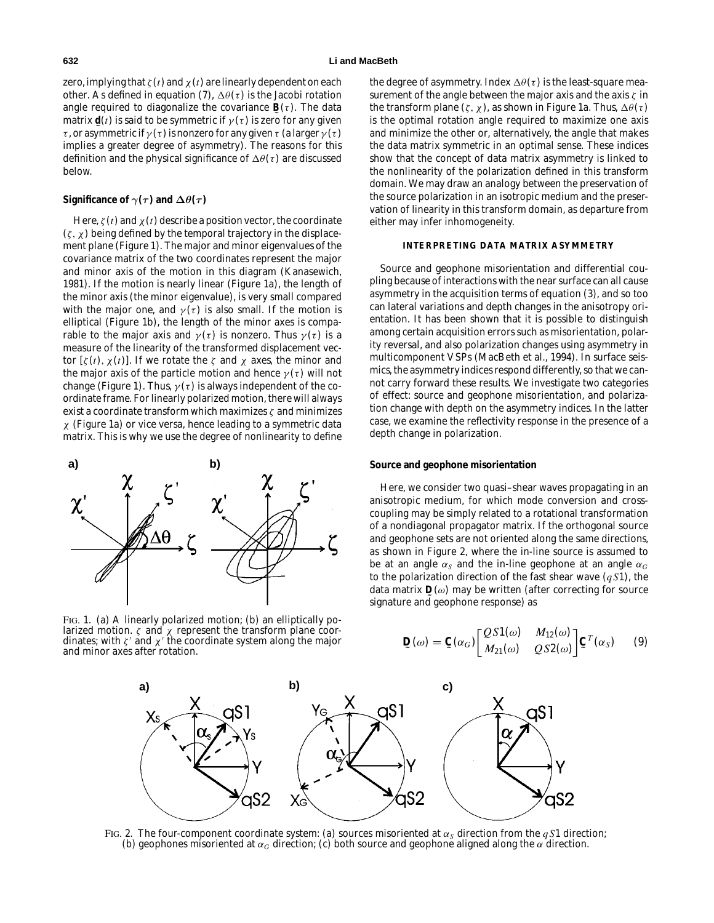zero, implying that  $\zeta(t)$  and  $\chi(t)$  are linearly dependent on each other. As defined in equation (7),  $\Delta\theta(\tau)$  is the Jacobi rotation angle required to diagonalize the covariance  $\mathbf{B}(\tau)$ . The data<br>matrix  $\mathbf{d}(t)$  is said to be symmetric if  $y(\tau)$  is zero for any given matrix  $\mathbf{d}(t)$  is said to be symmetric if  $\gamma(\tau)$  is zero for any given<br> $\tau$  or asymmetric if  $\gamma(\tau)$  is nonzero for any given  $\tau$  (a larger  $\gamma(\tau)$ ) τ, or asymmetric if  $\gamma(\tau)$  is nonzero for any given τ (a larger  $\gamma(\tau)$ ) implies a greater degree of asymmetry). The reasons for this definition and the physical significance of  $\Delta\theta(\tau)$  are discussed below.

## **Significance of**  $\gamma(\tau)$  and  $\Delta\theta(\tau)$

Here,  $\zeta(t)$  and  $\chi(t)$  describe a position vector, the coordinate  $(\zeta, \chi)$  being defined by the temporal trajectory in the displacement plane (Figure 1). The major and minor eigenvalues of the covariance matrix of the two coordinates represent the major and minor axis of the motion in this diagram (Kanasewich, 1981). If the motion is nearly linear (Figure 1a), the length of the minor axis (the minor eigenvalue), is very small compared with the major one, and  $\gamma(\tau)$  is also small. If the motion is elliptical (Figure 1b), the length of the minor axes is comparable to the major axis and  $\gamma(\tau)$  is nonzero. Thus  $\gamma(\tau)$  is a measure of the linearity of the transformed displacement vector  $[ζ(t), χ(t)]$ . If we rotate the ζ and  $χ$  axes, the minor and the major axis of the particle motion and hence  $\gamma(\tau)$  will not change (Figure 1). Thus,  $\gamma(\tau)$  is always independent of the coordinate frame. For linearly polarized motion, there will always exist a coordinate transform which maximizes  $\zeta$  and minimizes  $\chi$  (Figure 1a) or vice versa, hence leading to a symmetric data matrix. This is why we use the degree of nonlinearity to define



FIG. 1. (a) A linearly polarized motion; (b) an elliptically polarized motion.  $\zeta$  and  $\chi$  represent the transform plane coordinates; with  $\zeta'$  and  $\chi'$  the coordinate system along the major and minor axes after rotation.

the degree of asymmetry. Index  $\Delta\theta(\tau)$  is the least-square measurement of the angle between the major axis and the axis  $\zeta$  in the transform plane ( $\zeta$ ,  $\chi$ ), as shown in Figure 1a. Thus,  $\Delta\theta(\tau)$ is the optimal rotation angle required to maximize one axis and minimize the other or, alternatively, the angle that makes the data matrix symmetric in an optimal sense. These indices show that the concept of data matrix asymmetry is linked to the nonlinearity of the polarization defined in this transform domain. We may draw an analogy between the preservation of the source polarization in an isotropic medium and the preservation of linearity in this transform domain, as departure from either may infer inhomogeneity.

#### **INTERPRETING DATA MATRIX ASYMMETRY**

Source and geophone misorientation and differential coupling because of interactions with the near surface can all cause asymmetry in the acquisition terms of equation (3), and so too can lateral variations and depth changes in the anisotropy orientation. It has been shown that it is possible to distinguish among certain acquisition errors such as misorientation, polarity reversal, and also polarization changes using asymmetry in multicomponent VSPs (MacBeth et al., 1994). In surface seismics, the asymmetry indices respond differently, so that we cannot carry forward these results. We investigate two categories of effect: source and geophone misorientation, and polarization change with depth on the asymmetry indices. In the latter case, we examine the reflectivity response in the presence of a depth change in polarization.

#### **Source and geophone misorientation**

Here, we consider two quasi–shear waves propagating in an anisotropic medium, for which mode conversion and crosscoupling may be simply related to a rotational transformation of a nondiagonal propagator matrix. If the orthogonal source and geophone sets are not oriented along the same directions, as shown in Figure 2, where the in-line source is assumed to be at an angle  $\alpha_S$  and the in-line geophone at an angle  $\alpha_G$ to the polarization direction of the fast shear wave (*q S*1), the data matrix  $\mathbf{D}(\omega)$  may be written (after correcting for source<br>signature and geophone response) as signature and geophone response) as

$$
\mathbf{D}(\omega) = \mathbf{C}(\alpha_G) \begin{bmatrix} Q S 1(\omega) & M_{12}(\omega) \\ M_{21}(\omega) & Q S 2(\omega) \end{bmatrix} \mathbf{C}^T(\alpha_S) \qquad (9)
$$



FIG. 2. The four-component coordinate system: (a) sources misoriented at  $\alpha_S$  direction from the  $qS1$  direction; (b) geophones misoriented at  $\alpha_G$  direction; (c) both source and geophone aligned along the  $\alpha$  direction.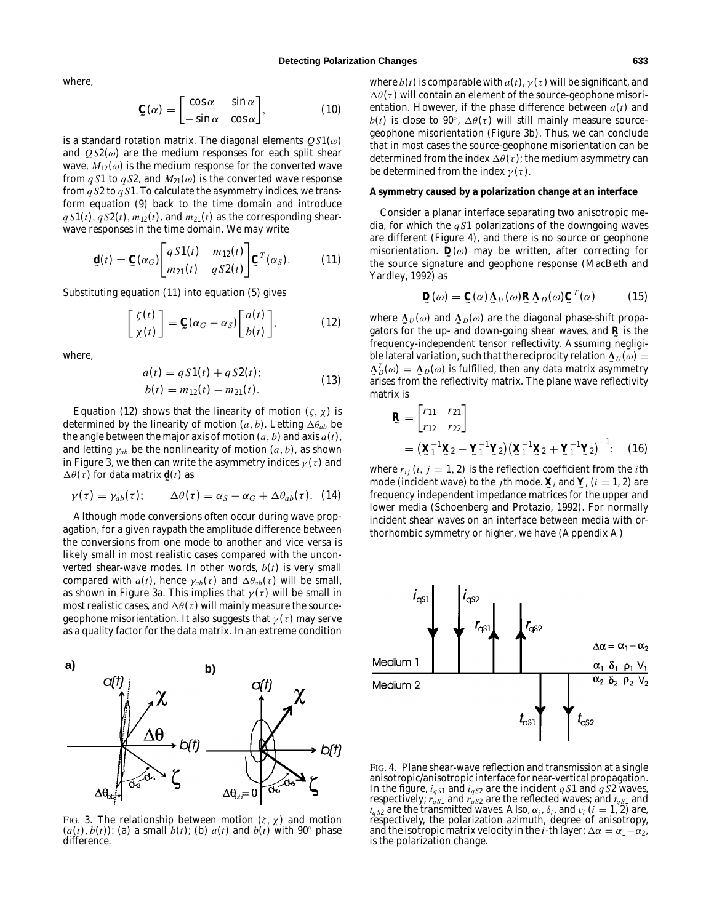where,

$$
\mathbf{C}(\alpha) = \begin{bmatrix} \cos \alpha & \sin \alpha \\ -\sin \alpha & \cos \alpha \end{bmatrix}, \tag{10}
$$

is a standard rotation matrix. The diagonal elements *Q S*1(ω) and  $\mathcal{Q}S2(\omega)$  are the medium responses for each split shear wave,  $M_{12}(\omega)$  is the medium response for the converted wave from  $qS1$  to  $qS2$ , and  $M_{21}(\omega)$  is the converted wave response from *q S*2 to *q S*1. To calculate the asymmetry indices, we transform equation (9) back to the time domain and introduce  $q S1(t)$ ,  $q S2(t)$ ,  $m_{12}(t)$ , and  $m_{21}(t)$  as the corresponding shearwave responses in the time domain. We may write

$$
\mathbf{d}(t) = \mathbf{C}(\alpha_G) \begin{bmatrix} qS1(t) & m_{12}(t) \\ m_{21}(t) & qS2(t) \end{bmatrix} \mathbf{C}^T(\alpha_S).
$$
 (11)

Substituting equation (11) into equation (5) gives

$$
\begin{bmatrix} \zeta(t) \\ \chi(t) \end{bmatrix} = \mathbf{C}(\alpha_G - \alpha_S) \begin{bmatrix} a(t) \\ b(t) \end{bmatrix}, \tag{12}
$$

where,

$$
a(t) = qS1(t) + qS2(t);
$$
  
\n
$$
b(t) = m_{12}(t) - m_{21}(t).
$$
\n(13)

Equation (12) shows that the linearity of motion  $(\zeta, \chi)$  is determined by the linearity of motion  $(a, b)$ . Letting  $\Delta \theta_{ab}$  be the angle between the major axis of motion  $(a, b)$  and axis  $a(t)$ , and letting  $\gamma_{ab}$  be the nonlinearity of motion  $(a, b)$ , as shown in Figure 3, we then can write the asymmetry indices  $\gamma(\tau)$  and  $\Delta\theta(\tau)$  for data matrix **<u>d</u>**(*t*) as

$$
\gamma(\tau) = \gamma_{ab}(\tau); \qquad \Delta\theta(\tau) = \alpha_S - \alpha_G + \Delta\theta_{ab}(\tau).
$$
 (14)

Although mode conversions often occur during wave propagation, for a given raypath the amplitude difference between the conversions from one mode to another and vice versa is likely small in most realistic cases compared with the unconverted shear-wave modes. In other words, *b*(*t*) is very small compared with  $a(t)$ , hence  $\gamma_{ab}(\tau)$  and  $\Delta\theta_{ab}(\tau)$  will be small, as shown in Figure 3a. This implies that  $\gamma(\tau)$  will be small in most realistic cases, and  $\Delta\theta(\tau)$  will mainly measure the sourcegeophone misorientation. It also suggests that  $\gamma(\tau)$  may serve as a quality factor for the data matrix. In an extreme condition



FIG. 3. The relationship between motion  $(\zeta, \chi)$  and motion  $(a(t), b(t))$ : (a) a small  $b(t)$ ; (b)  $a(t)$  and  $b(t)$  with 90° phase difference.

where  $b(t)$  is comparable with  $a(t)$ ,  $\gamma(\tau)$  will be significant, and  $\Delta\theta(\tau)$  will contain an element of the source-geophone misorientation. However, if the phase difference between *a*(*t*) and *b*(*t*) is close to 90°,  $\Delta\theta(\tau)$  will still mainly measure sourcegeophone misorientation (Figure 3b). Thus, we can conclude that in most cases the source-geophone misorientation can be determined from the index  $\Delta\theta(\tau)$ ; the medium asymmetry can be determined from the index  $\gamma(\tau)$ .

#### **Asymmetry caused by a polarization change at an interface**

Consider a planar interface separating two anisotropic media, for which the *q S*1 polarizations of the downgoing waves are different (Figure 4), and there is no source or geophone misorientation.  $\mathbf{D}(\omega)$  may be written, after correcting for<br>the source signature and geophone response (MacBoth and the source signature and geophone response (MacBeth and Yardley, 1992) as

$$
\mathbf{D}(\omega) = \mathbf{C}(\alpha) \mathbf{\Lambda}_U(\omega) \mathbf{R} \mathbf{\Lambda}_D(\omega) \mathbf{C}^T(\alpha)
$$
 (15)

where  $\Delta_U(\omega)$  and  $\Delta_D(\omega)$  are the diagonal phase-shift propa-<br>gators for the up and down going shear wayes, and **P** is the gators for the up- and down-going shear waves, and **R** is the<br>frequency independent tonsor reflectivity. Assuming poglici frequency-independent tensor reflectivity. Assuming negligible lateral variation, such that the reciprocity relation  $\Lambda_U(\omega) = \Lambda^T(\omega) = \Lambda(\omega)$  is fulfilled, then any data matrix asymmetry  $\mathcal{F}_D(\omega)$  are reflectivity matrix. The plane wave reflectivity arises from the reflectivity matrix. The plane wave reflectivity  $\Delta_D^T(\omega) = \Delta_D(\omega)$  is fulfilled, then any data matrix asymmetry matrix is

$$
\mathbf{R} = \begin{bmatrix} r_{11} & r_{21} \\ r_{12} & r_{22} \end{bmatrix}
$$
  
=  $(\mathbf{X}_1^{-1}\mathbf{X}_2 - \mathbf{Y}_1^{-1}\mathbf{Y}_2)(\mathbf{X}_1^{-1}\mathbf{X}_2 + \mathbf{Y}_1^{-1}\mathbf{Y}_2)^{-1}$ ; (16)

where  $r_{ii}$  (*i*, *j* = 1, 2) is the reflection coefficient from the *i*th mode (incident wave) to the *j*th mode.  $\mathbf{\underline{X}}_i$  and  $\mathbf{\underline{Y}}_i$  ( $i = 1, 2$ ) are<br>froquancy independent impodance matrices for the upper and frequency independent impedance matrices for the upper and lower media (Schoenberg and Protazio, 1992). For normally incident shear waves on an interface between media with orthorhombic symmetry or higher, we have (Appendix A)



FIG. 4. Plane shear-wave reflection and transmission at a single anisotropic/anisotropic interface for near-vertical propagation. In the figure,  $i_{qS1}$  and  $i_{qS2}$  are the incident  $qS1$  and  $qS2$  waves, respectively;  $r_{qS1}$  and  $r_{qS2}$  are the reflected waves; and  $t_{qS1}$  and  $t_{qS2}$  are the transmitted waves. Also,  $\alpha_i$ ,  $\delta_i$ , and  $v_i$  (*i* = 1, 2) are, respectively, the polarization azimuth, degree of anisotropy, and the isotropic matrix velocity in the *i*-th layer;  $\Delta \alpha = \alpha_1 - \alpha_2$ , is the polarization change.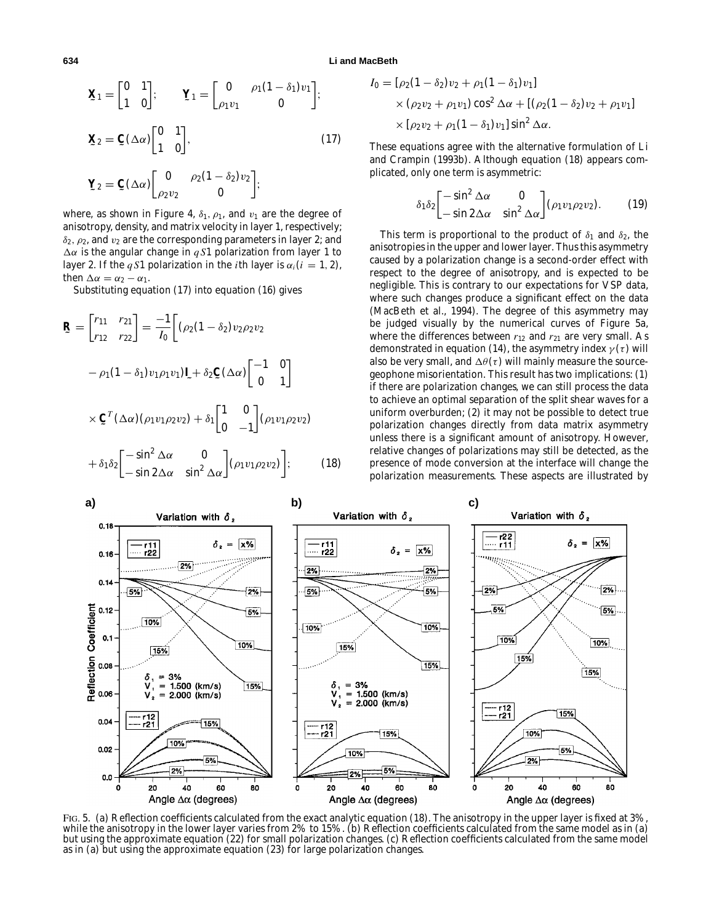then  $\Delta \alpha = \alpha_2 - \alpha_1$ .

**634 Li and MacBeth**

$$
\mathbf{X}_1 = \begin{bmatrix} 0 & 1 \\ 1 & 0 \end{bmatrix}; \qquad \mathbf{Y}_1 = \begin{bmatrix} 0 & \rho_1(1-\delta_1)v_1 \\ \rho_1v_1 & 0 \end{bmatrix};
$$

$$
\mathbf{X}_2 = \mathbf{C}(\Delta \alpha) \begin{bmatrix} 0 & 1 \\ 1 & 0 \end{bmatrix}, \qquad (17)
$$

$$
\mathbf{Y}_2 = \mathbf{C}(\Delta \alpha) \begin{bmatrix} 0 & \rho_2(1-\delta_2)v_2 \\ \rho_2v_2 & 0 \end{bmatrix};
$$

$$
\mathbf{\Sigma} z = \mathbf{\Sigma} (\Delta \alpha) \begin{bmatrix} 0 & 0 \\ 0 & 1 \end{bmatrix}
$$
where, as shown in Figure 4,  $\delta_1$ ,  $\rho_1$ , and  $v_1$  are the degree of anisotropy, density, and matrix velocity in layer 1, respectively;  
 $\delta_2$ ,  $\rho_2$ , and  $v_2$  are the corresponding parameters in layer 2; and  $\Delta \alpha$  is the angular change in  $qS1$  polarization from layer 1 to layer 2. If the  $qS1$  polarization in the *i*th layer is  $\alpha_i$  (*i* = 1, 2),

Substituting equation (17) into equation (16) gives

$$
\mathbf{R} = \begin{bmatrix} r_{11} & r_{21} \\ r_{12} & r_{22} \end{bmatrix} = \frac{-1}{I_0} \Big[ (\rho_2 (1 - \delta_2) v_2 \rho_2 v_2
$$

$$
- \rho_1 (1 - \delta_1) v_1 \rho_1 v_1) \mathbf{I} + \delta_2 \mathbf{C} (\Delta \alpha) \Big[ \begin{bmatrix} -1 & 0 \\ 0 & 1 \end{bmatrix}
$$

$$
\times \mathbf{C}^T (\Delta \alpha) (\rho_1 v_1 \rho_2 v_2) + \delta_1 \begin{bmatrix} 1 & 0 \\ 0 & -1 \end{bmatrix} (\rho_1 v_1 \rho_2 v_2)
$$

$$
+ \delta_1 \delta_2 \Big[ \begin{bmatrix} -\sin^2 \Delta \alpha & 0 \\ -\sin 2\Delta \alpha & \sin^2 \Delta \alpha \end{bmatrix} (\rho_1 v_1 \rho_2 v_2) \Big]; \qquad (18)
$$

$$
I_0 = [\rho_2 (1 - \delta_2) v_2 + \rho_1 (1 - \delta_1) v_1]
$$
  
×  $(\rho_2 v_2 + \rho_1 v_1) \cos^2 \Delta \alpha + [(\rho_2 (1 - \delta_2) v_2 + \rho_1 v_1)]$   
×  $[\rho_2 v_2 + \rho_1 (1 - \delta_1) v_1] \sin^2 \Delta \alpha$ .

These equations agree with the alternative formulation of Li and Crampin (1993b). Although equation (18) appears complicated, only one term is asymmetric:

$$
\delta_1 \delta_2 \begin{bmatrix} -\sin^2 \Delta \alpha & 0 \\ -\sin 2\Delta \alpha & \sin^2 \Delta \alpha \end{bmatrix} (\rho_1 v_1 \rho_2 v_2). \tag{19}
$$

This term is proportional to the product of  $\delta_1$  and  $\delta_2$ , the anisotropies in the upper and lower layer. Thus this asymmetry caused by a polarization change is a second-order effect with respect to the degree of anisotropy, and is expected to be negligible. This is contrary to our expectations for VSP data, where such changes produce a significant effect on the data (MacBeth et al., 1994). The degree of this asymmetry may be judged visually by the numerical curves of Figure 5a, where the differences between  $r_{12}$  and  $r_{21}$  are very small. As demonstrated in equation (14), the asymmetry index  $\gamma(\tau)$  will also be very small, and  $\Delta\theta(\tau)$  will mainly measure the sourcegeophone misorientation. This result has two implications: (1) if there are polarization changes, we can still process the data to achieve an optimal separation of the split shear waves for a uniform overburden; (2) it may not be possible to detect true polarization changes directly from data matrix asymmetry unless there is a significant amount of anisotropy. However, relative changes of polarizations may still be detected, as the presence of mode conversion at the interface will change the polarization measurements. These aspects are illustrated by



FIG. 5. (a) Reflection coefficients calculated from the exact analytic equation (18). The anisotropy in the upper layer is fixed at 3%, while the anisotropy in the lower layer varies from 2% to 15%. (b) Reflection coefficients calculated from the same model as in (a) but using the approximate equation (22) for small polarization changes. (c) Reflection coefficients calculated from the same model as in (a) but using the approximate equation (23) for large polarization changes.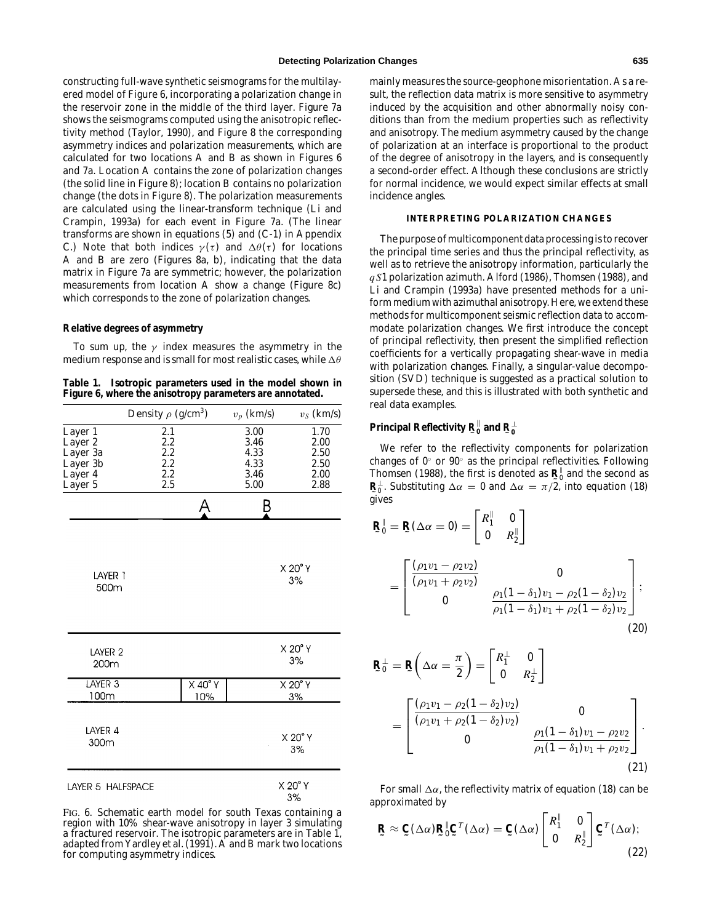constructing full-wave synthetic seismograms for the multilayered model of Figure 6, incorporating a polarization change in the reservoir zone in the middle of the third layer. Figure 7a shows the seismograms computed using the anisotropic reflectivity method (Taylor, 1990), and Figure 8 the corresponding asymmetry indices and polarization measurements, which are calculated for two locations A and B as shown in Figures 6 and 7a. Location A contains the zone of polarization changes (the solid line in Figure 8); location B contains no polarization change (the dots in Figure 8). The polarization measurements are calculated using the linear-transform technique (Li and Crampin, 1993a) for each event in Figure 7a. (The linear transforms are shown in equations (5) and (C-1) in Appendix C.) Note that both indices  $\gamma(\tau)$  and  $\Delta\theta(\tau)$  for locations A and B are zero (Figures 8a, b), indicating that the data matrix in Figure 7a are symmetric; however, the polarization measurements from location A show a change (Figure 8c) which corresponds to the zone of polarization changes.

#### **Relative degrees of asymmetry**

To sum up, the  $\gamma$  index measures the asymmetry in the medium response and is small for most realistic cases, while  $\Delta\theta$ 

**Table 1. Isotropic parameters used in the model shown in Figure 6, where the anisotropy parameters are annotated.**

|                                                                  | Density $\rho$ (g/cm <sup>3</sup> )    |                           | $v_p$ (km/s)                                 | $v_S$ (km/s)                                 |
|------------------------------------------------------------------|----------------------------------------|---------------------------|----------------------------------------------|----------------------------------------------|
| Layer 1<br>Layer 2<br>Layer 3a<br>Layer 3b<br>Layer 4<br>Layer 5 | 2.1<br>2.2<br>2.2<br>2.2<br>2.2<br>2.5 |                           | 3.00<br>3.46<br>4.33<br>4.33<br>3.46<br>5.00 | 1.70<br>2.00<br>2.50<br>2.50<br>2.00<br>2.88 |
|                                                                  |                                        | Α                         | B                                            |                                              |
| LAYER 1<br>500m                                                  |                                        |                           |                                              | X 20° Y<br>3%                                |
| LAYER <sub>2</sub><br>200m                                       |                                        |                           |                                              | X 20° Y<br>3%                                |
| LAYER 3<br>100m                                                  |                                        | $X$ 40 $\degree$ Y<br>10% |                                              | X 20° Y<br>3%                                |
| LAYER 4<br>300m                                                  |                                        |                           |                                              | X 20° Y<br>3%                                |
| LAYER 5 HALFSPACE                                                |                                        |                           | X 20° Y<br>30/                               |                                              |

FIG. 6. Schematic earth model for south Texas containing a region with 10% shear-wave anisotropy in layer 3 simulating a fractured reservoir. The isotropic parameters are in Table 1, adapted from Yardley et al. (1991). A and B mark two locations for computing asymmetry indices.

mainly measures the source-geophone misorientation. As a result, the reflection data matrix is more sensitive to asymmetry induced by the acquisition and other abnormally noisy conditions than from the medium properties such as reflectivity and anisotropy. The medium asymmetry caused by the change of polarization at an interface is proportional to the product of the degree of anisotropy in the layers, and is consequently a second-order effect. Although these conclusions are strictly for normal incidence, we would expect similar effects at small incidence angles.

## **INTERPRETING POLARIZATION CHANGES**

The purpose of multicomponent data processing is to recover the principal time series and thus the principal reflectivity, as well as to retrieve the anisotropy information, particularly the *q S*1 polarization azimuth. Alford (1986), Thomsen (1988), and Li and Crampin (1993a) have presented methods for a uniform medium with azimuthal anisotropy. Here, we extend these methods for multicomponent seismic reflection data to accommodate polarization changes. We first introduce the concept of principal reflectivity, then present the simplified reflection coefficients for a vertically propagating shear-wave in media with polarization changes. Finally, a singular-value decomposition (SVD) technique is suggested as a practical solution to supersede these, and this is illustrated with both synthetic and real data examples.

# $\mathbf{P}$ rincipal Reflectivity  $\mathbf{R}_{0}^{\perp}$  and  $\mathbf{R}_{0}^{\perp}$

We refer to the reflectivity components for polarization changes of 0◦ or 90◦ as the principal reflectivities. Following Thomsen (1988), the first is denoted as  $\mathbf{R}^{\parallel}$  and the second as  $\mathbf{R}^{\perp}$  Substituting  $\Delta \alpha = 0$  and  $\Delta \alpha = \pi/2$  into equation (18) **˜** gives  $\mathbf{R}_{0}^{\perp}$ . Substituting  $\Delta \alpha = 0$  and  $\Delta \alpha = \pi/2$ , into equation (18)

$$
\mathbf{R}_{0}^{\parallel} = \mathbf{R}(\Delta \alpha = 0) = \begin{bmatrix} R_{1}^{\parallel} & 0 \\ 0 & R_{2}^{\parallel} \end{bmatrix}
$$

$$
= \begin{bmatrix} \frac{(\rho_{1}v_{1} - \rho_{2}v_{2})}{(\rho_{1}v_{1} + \rho_{2}v_{2})} & 0 \\ 0 & \frac{\rho_{1}(1 - \delta_{1})v_{1} - \rho_{2}(1 - \delta_{2})v_{2}}{\rho_{1}(1 - \delta_{1})v_{1} + \rho_{2}(1 - \delta_{2})v_{2}} \end{bmatrix};
$$
(20)

$$
\mathbf{R}_{0}^{\perp} = \mathbf{R} \left( \Delta \alpha = \frac{\pi}{2} \right) = \begin{bmatrix} R_{1}^{\perp} & 0 \\ 0 & R_{2}^{\perp} \end{bmatrix}
$$

$$
= \begin{bmatrix} \frac{(\rho_{1}v_{1} - \rho_{2}(1 - \delta_{2})v_{2})}{(\rho_{1}v_{1} + \rho_{2}(1 - \delta_{2})v_{2})} & 0 \\ 0 & \frac{\rho_{1}(1 - \delta_{1})v_{1} - \rho_{2}v_{2}}{\rho_{1}(1 - \delta_{1})v_{1} + \rho_{2}v_{2}} \end{bmatrix}.
$$
(21)

For small  $\Delta \alpha$ , the reflectivity matrix of equation (18) can be approximated by

$$
\mathbf{R} \approx \mathbf{C}(\Delta \alpha) \mathbf{R}_0^{\parallel} \mathbf{C}^T(\Delta \alpha) = \mathbf{C}(\Delta \alpha) \begin{bmatrix} R_1^{\parallel} & 0 \\ 0 & R_2^{\parallel} \end{bmatrix} \mathbf{C}^T(\Delta \alpha); \tag{22}
$$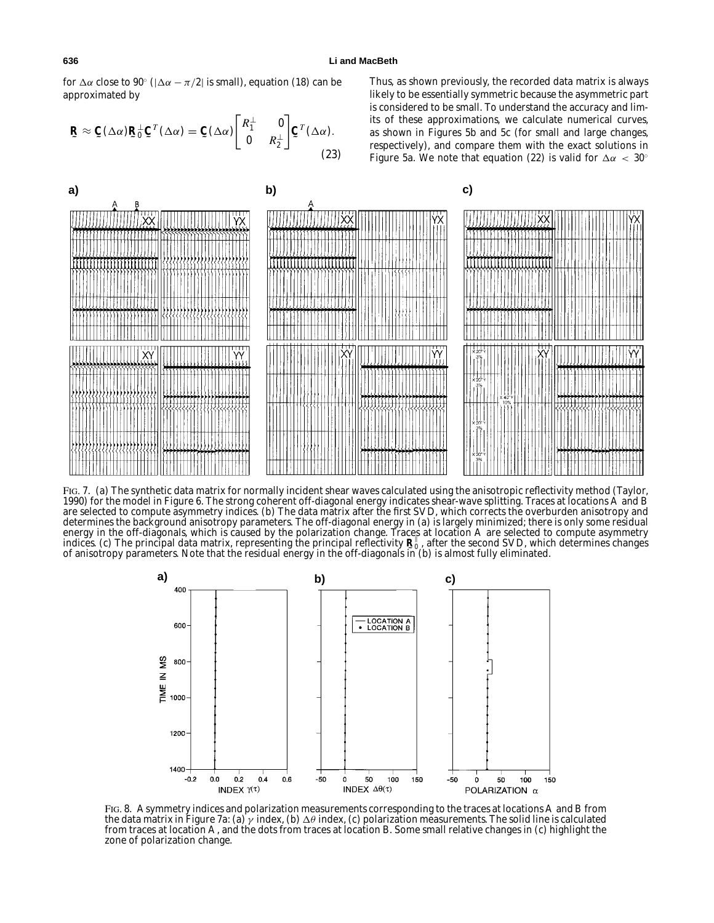for  $\Delta \alpha$  close to 90° ( $|\Delta \alpha - \pi/2|$  is small), equation (18) can be approximated by

$$
\mathbf{R} \approx \mathbf{C}(\Delta \alpha) \mathbf{R}_0^{\perp} \mathbf{C}^T (\Delta \alpha) = \mathbf{C}(\Delta \alpha) \begin{bmatrix} R_1^{\perp} & 0 \\ 0 & R_2^{\perp} \end{bmatrix} \mathbf{C}^T (\Delta \alpha). \tag{23}
$$

Thus, as shown previously, the recorded data matrix is always likely to be essentially symmetric because the asymmetric part is considered to be small. To understand the accuracy and limits of these approximations, we calculate numerical curves, as shown in Figures 5b and 5c (for small and large changes, respectively), and compare them with the exact solutions in Figure 5a. We note that equation (22) is valid for  $\Delta \alpha < 30^{\circ}$ 



FIG. 7. (a) The synthetic data matrix for normally incident shear waves calculated using the anisotropic reflectivity method (Taylor, 1990) for the model in Figure 6. The strong coherent off-diagonal energy indicates shear-wave splitting. Traces at locations A and B are selected to compute asymmetry indices. (b) The data matrix after the first SVD, which corrects the overburden anisotropy and determines the background anisotropy parameters. The off-diagonal energy in (a) is largely minimized; there is only some residual energy in the off-diagonals, which is caused by the polarization change. Traces at location A are selected to compute asymmetry indices. (c) The principal data matrix, representing the principal reflectivity  $\mathbf{R}^\parallel$ , after the second SVD, which determines changes<br>of anisotrony parameters. Note that the residual energy in the off-diagonals in (b) of anisotropy parameters. Note that the residual energy in the off-diagonals in (b) is almost fully eliminated.



FIG. 8. Asymmetry indices and polarization measurements corresponding to the traces at locations A and B from the data matrix in Figure 7a: (a)  $\gamma$  index, (b)  $\Delta\theta$  index, (c) polarization measurements. The solid line is calculated from traces at location A, and the dots from traces at location B. Some small relative changes in (c) highlight the zone of polarization change.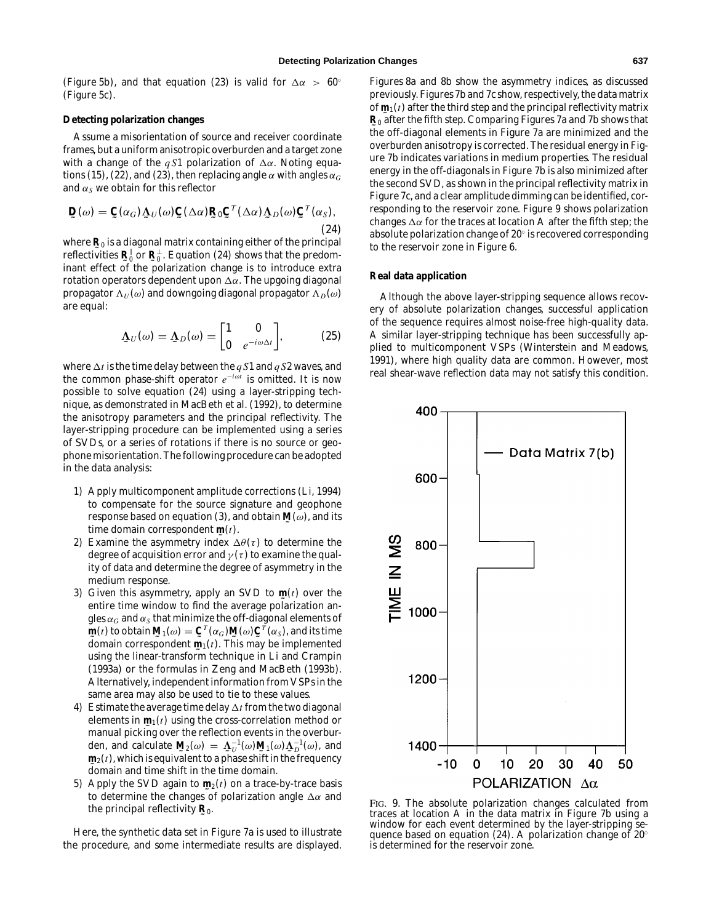(Figure 5b), and that equation (23) is valid for  $\Delta \alpha > 60^{\circ}$ (Figure 5c).

#### **Detecting polarization changes**

Assume a misorientation of source and receiver coordinate frames, but a uniform anisotropic overburden and a target zone with a change of the *qS1* polarization of  $\Delta \alpha$ . Noting equations (15), (22), and (23), then replacing angle  $\alpha$  with angles  $\alpha_G$ and  $\alpha_S$  we obtain for this reflector

$$
\mathbf{D}(\omega) = \mathbf{C}(\alpha_G) \mathbf{\Delta}_U(\omega) \mathbf{C}(\Delta \alpha) \mathbf{R}_0 \mathbf{C}^T(\Delta \alpha) \mathbf{\Delta}_D(\omega) \mathbf{C}^T(\alpha_S),
$$
\n(24)

where  $\mathbf{R}_0$  is a diagonal matrix containing either of the principal<br>reflectivities  $\mathbf{P}^{\parallel}$  or  $\mathbf{P}^{\perp}$  . Equation (24) shows that the prodom reflectivities  $\mathbf{R}_{\theta}^{\parallel}$  or  $\mathbf{R}_{0}^{\perp}$ . Equation (24) shows that the predom-<br>inant offect of the polarization change is to introduce extra inant effect of the polarization change is to introduce extra rotation operators dependent upon  $\Delta \alpha$ . The upgoing diagonal propagator  $\Lambda_U(\omega)$  and downgoing diagonal propagator  $\Lambda_D(\omega)$ are equal:

$$
\underline{\Lambda}_U(\omega) = \underline{\Lambda}_D(\omega) = \begin{bmatrix} 1 & 0 \\ 0 & e^{-i\omega\Delta t} \end{bmatrix}, \quad (25)
$$

where  $\Delta t$  is the time delay between the *q* S1 and *q* S2 waves, and the common phase-shift operator *e*−*i*ω*<sup>t</sup>* is omitted. It is now possible to solve equation (24) using a layer-stripping technique, as demonstrated in MacBeth et al. (1992), to determine the anisotropy parameters and the principal reflectivity. The layer-stripping procedure can be implemented using a series of SVDs, or a series of rotations if there is no source or geophone misorientation. The following procedure can be adopted in the data analysis:

- 1) Apply multicomponent amplitude corrections (Li, 1994) to compensate for the source signature and geophone response based on equation (3), and obtain  $\mathbf{M}(\omega)$ , and its<br>time domain correspondent  $\mathbf{m}(t)$ time domain correspondent  $\mathbf{m}(t)$ .<br>Examine the asymmetry index  $\Lambda$
- 2) Examine the asymmetry index  $\Delta\theta(\tau)$  to determine the degree of acquisition error and  $\gamma(\tau)$  to examine the quality of data and determine the degree of asymmetry in the medium response.
- 3) Given this asymmetry, apply an SVD to  $\mathbf{m}(t)$  over the order time window to find the average polarization and entire time window to find the average polarization angles  $\alpha_G$  and  $\alpha_S$  that minimize the off-diagonal elements of  $\frac{dy}{dx}$ (*x*) is determined that  $\frac{dy}{dx}$  (*t*). This may be implemented<br>using the linear transform to<br>chaigue in Li and Crampin **m**(*t*) to obtain  $\mathbf{M}_1(\omega) = \mathbf{C}^T(\alpha_G) \mathbf{M}(\omega) \mathbf{C}^T(\alpha_S)$ , and its time using the linear-transform technique in Li and Crampin (1993a) or the formulas in Zeng and MacBeth (1993b). Alternatively, independent information from VSPs in the same area may also be used to tie to these values.
- 4) Estimate the average time delay  $\Delta t$  from the two diagonal elements in  $\mathbf{m}_1(t)$  using the cross-correlation method or<br>manual picking over the reflection events in the overbur manual picking over the reflection events in the overburden, and calculate  $\mathbf{M}_2(\omega) = \mathbf{\Lambda}_U^{-1}(\omega) \mathbf{M}_1(\omega) \mathbf{\Lambda}_D^{-1}(\omega)$ , and  $\mathbf{m}_1(t)$  which is equivalent to a phase shift in the frequency  $\mathbf{m}_2(t)$ , which is equivalent to a phase shift in the frequency **˜** domain and time shift in the time domain.
- 5) Apply the SVD again to  $\mathbf{m}_2(t)$  on a trace-by-trace basis<br>to determine the changes of polarization angle  $\Delta \alpha$  and to determine the changes of polarization angle  $\Delta \alpha$  and the principal reflectivity **˜ R**0.

Here, the synthetic data set in Figure 7a is used to illustrate the procedure, and some intermediate results are displayed.

Figures 8a and 8b show the asymmetry indices, as discussed previously. Figures 7b and 7c show, respectively, the data matrix of **˜ m**1(*t*) after the third step and the principal reflectivity matrix **˜** the off-diagonal elements in Figure 7a are minimized and the **R**<sup>0</sup> after the fifth step. Comparing Figures 7a and 7b shows that overburden anisotropy is corrected. The residual energy in Figure 7b indicates variations in medium properties. The residual energy in the off-diagonals in Figure 7b is also minimized after the second SVD, as shown in the principal reflectivity matrix in Figure 7c, and a clear amplitude dimming can be identified, corresponding to the reservoir zone. Figure 9 shows polarization changes  $\Delta \alpha$  for the traces at location A after the fifth step; the absolute polarization change of 20◦ is recovered corresponding to the reservoir zone in Figure 6.

#### **Real data application**

Although the above layer-stripping sequence allows recovery of absolute polarization changes, successful application of the sequence requires almost noise-free high-quality data. A similar layer-stripping technique has been successfully applied to multicomponent VSPs (Winterstein and Meadows, 1991), where high quality data are common. However, most real shear-wave reflection data may not satisfy this condition.



FIG. 9. The absolute polarization changes calculated from traces at location A in the data matrix in Figure 7b using a window for each event determined by the layer-stripping sequence based on equation (24). A polarization change of 20◦ is determined for the reservoir zone.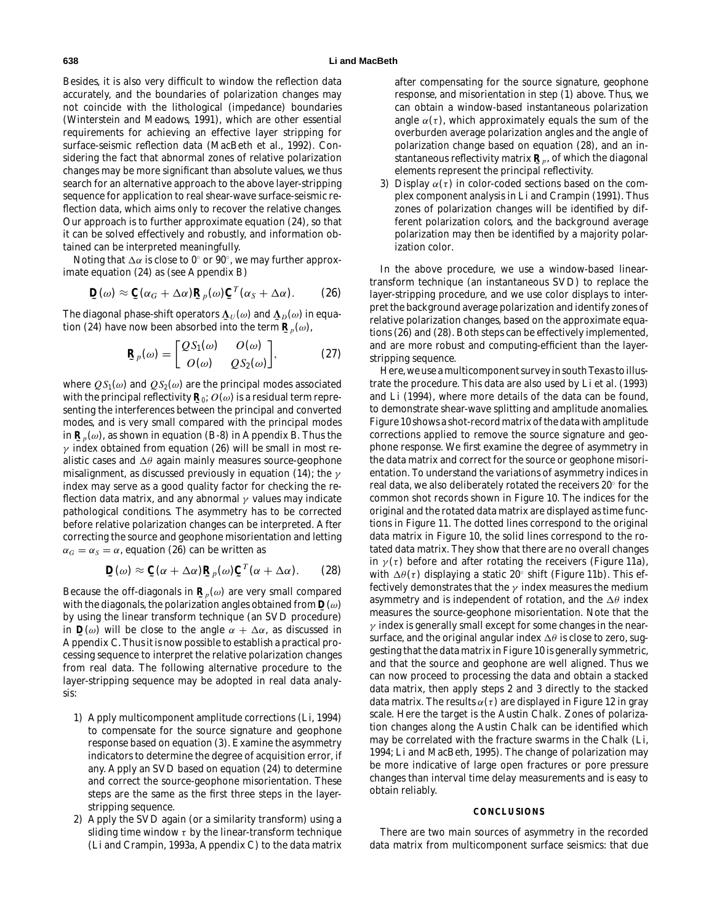Besides, it is also very difficult to window the reflection data accurately, and the boundaries of polarization changes may not coincide with the lithological (impedance) boundaries (Winterstein and Meadows, 1991), which are other essential requirements for achieving an effective layer stripping for surface-seismic reflection data (MacBeth et al., 1992). Considering the fact that abnormal zones of relative polarization changes may be more significant than absolute values, we thus search for an alternative approach to the above layer-stripping sequence for application to real shear-wave surface-seismic reflection data, which aims only to recover the relative changes. Our approach is to further approximate equation (24), so that it can be solved effectively and robustly, and information obtained can be interpreted meaningfully.

Noting that  $\Delta \alpha$  is close to 0 $^{\circ}$  or 90 $^{\circ}$ , we may further approximate equation (24) as (see Appendix B)

$$
\mathbf{D}(\omega) \approx \mathbf{C}(\alpha_G + \Delta \alpha) \mathbf{R}_p(\omega) \mathbf{C}^T(\alpha_S + \Delta \alpha).
$$
 (26)

The diagonal phase-shift operators  $\mathbf{\underline{\Lambda}}_{U}(\omega)$  and  $\mathbf{\underline{\Lambda}}_{D}(\omega)$  in equation (24) have now been absorbed into the term  $\mathbf{P}^{\mathcal{L}}(\omega)$ tion (24) have now been absorbed into the term  $\mathbf{R}_p(\omega)$ ,

$$
\mathbf{R}_p(\omega) = \begin{bmatrix} Q S_1(\omega) & O(\omega) \\ O(\omega) & Q S_2(\omega) \end{bmatrix},\tag{27}
$$

where  $QS_1(\omega)$  and  $QS_2(\omega)$  are the principal modes associated with the principal reflectivity  $\mathbf{R}_0$ ;  $O(\omega)$  is a residual term repre-<br>senting the interferences between the principal and converted senting the interferences between the principal and converted modes, and is very small compared with the principal modes in  $\mathbf{R}_p(\omega)$ , as shown in equation (B-8) in Appendix B. Thus the  $\omega$  indox obtained from equation (26) will be small in most re- $\gamma$  index obtained from equation (26) will be small in most realistic cases and  $\Delta\theta$  again mainly measures source-geophone misalignment, as discussed previously in equation (14); the  $\gamma$ index may serve as a good quality factor for checking the reflection data matrix, and any abnormal  $\gamma$  values may indicate pathological conditions. The asymmetry has to be corrected before relative polarization changes can be interpreted. After correcting the source and geophone misorientation and letting  $\alpha_G = \alpha_S = \alpha$ , equation (26) can be written as

$$
\mathbf{D}(\omega) \approx \mathbf{C}(\alpha + \Delta \alpha) \mathbf{R}_p(\omega) \mathbf{C}^T(\alpha + \Delta \alpha).
$$
 (28)

Because the off-diagonals in  $\mathbf{R}_p(\omega)$  are very small compared<br>with the diagonals, the polarization angles obtained from  $\mathbf{D}(\omega)$ **with the diagonals, the polarization angles obtained from <b>D**(ω)<br>by using the linear transform technique (an SVD precedure) by using the linear transform technique (an SVD procedure) in  $\mathbf{D}(\omega)$  will be close to the angle  $\alpha + \Delta \alpha$ , as discussed in Appropriate C. Thus it is now possible to establish a practical pro-Appendix C. Thus it is now possible to establish a practical processing sequence to interpret the relative polarization changes from real data. The following alternative procedure to the layer-stripping sequence may be adopted in real data analysis:

- 1) Apply multicomponent amplitude corrections (Li, 1994) to compensate for the source signature and geophone response based on equation (3). Examine the asymmetry indicators to determine the degree of acquisition error, if any. Apply an SVD based on equation (24) to determine and correct the source-geophone misorientation. These steps are the same as the first three steps in the layerstripping sequence.
- 2) Apply the SVD again (or a similarity transform) using a sliding time window  $\tau$  by the linear-transform technique (Li and Crampin, 1993a, Appendix C) to the data matrix

after compensating for the source signature, geophone response, and misorientation in step (1) above. Thus, we can obtain a window-based instantaneous polarization angle  $\alpha(\tau)$ , which approximately equals the sum of the overburden average polarization angles and the angle of polarization change based on equation (28), and an instantaneous reflectivity matrix  $\mathbf{R}_p$ , of which the diagonal<br>claments represent the principal reflectivity elements represent the principal reflectivity.

3) Display  $\alpha(\tau)$  in color-coded sections based on the complex component analysis in Li and Crampin (1991). Thus zones of polarization changes will be identified by different polarization colors, and the background average polarization may then be identified by a majority polarization color.

In the above procedure, we use a window-based lineartransform technique (an instantaneous SVD) to replace the layer-stripping procedure, and we use color displays to interpret the background average polarization and identify zones of relative polarization changes, based on the approximate equations (26) and (28). Both steps can be effectively implemented, and are more robust and computing-efficient than the layerstripping sequence.

Here, we use a multicomponent survey in south Texas to illustrate the procedure. This data are also used by Li et al. (1993) and Li (1994), where more details of the data can be found, to demonstrate shear-wave splitting and amplitude anomalies. Figure 10 shows a shot-record matrix of the data with amplitude corrections applied to remove the source signature and geophone response. We first examine the degree of asymmetry in the data matrix and correct for the source or geophone misorientation. To understand the variations of asymmetry indices in real data, we also deliberately rotated the receivers 20◦ for the common shot records shown in Figure 10. The indices for the original and the rotated data matrix are displayed as time functions in Figure 11. The dotted lines correspond to the original data matrix in Figure 10, the solid lines correspond to the rotated data matrix. They show that there are no overall changes in  $\gamma(\tau)$  before and after rotating the receivers (Figure 11a), with  $\Delta\theta(\tau)$  displaying a static 20° shift (Figure 11b). This effectively demonstrates that the  $\gamma$  index measures the medium asymmetry and is independent of rotation, and the  $\Delta\theta$  index measures the source-geophone misorientation. Note that the  $\gamma$  index is generally small except for some changes in the nearsurface, and the original angular index  $\Delta\theta$  is close to zero, suggesting that the data matrix in Figure 10 is generally symmetric, and that the source and geophone are well aligned. Thus we can now proceed to processing the data and obtain a stacked data matrix, then apply steps 2 and 3 directly to the stacked data matrix. The results  $\alpha(\tau)$  are displayed in Figure 12 in gray scale. Here the target is the Austin Chalk. Zones of polarization changes along the Austin Chalk can be identified which may be correlated with the fracture swarms in the Chalk (Li, 1994; Li and MacBeth, 1995). The change of polarization may be more indicative of large open fractures or pore pressure changes than interval time delay measurements and is easy to obtain reliably.

#### **CONCLUSIONS**

There are two main sources of asymmetry in the recorded data matrix from multicomponent surface seismics: that due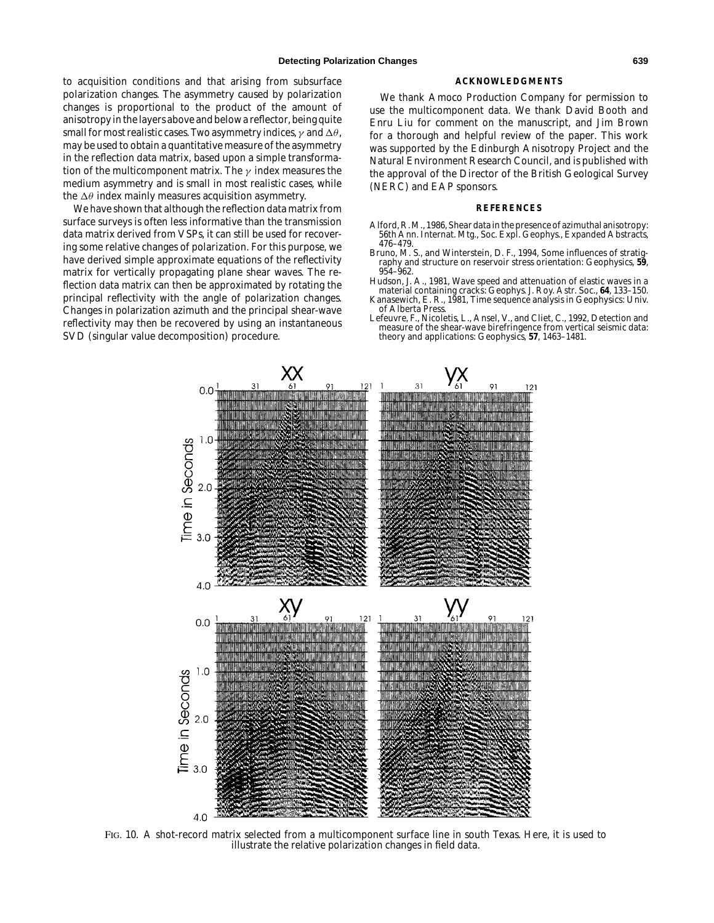to acquisition conditions and that arising from subsurface polarization changes. The asymmetry caused by polarization changes is proportional to the product of the amount of anisotropy in the layers above and below a reflector, being quite small for most realistic cases. Two asymmetry indices,  $\gamma$  and  $\Delta\theta$ , may be used to obtain a quantitative measure of the asymmetry in the reflection data matrix, based upon a simple transformation of the multicomponent matrix. The  $\gamma$  index measures the medium asymmetry and is small in most realistic cases, while the  $\Delta\theta$  index mainly measures acquisition asymmetry.

We have shown that although the reflection data matrix from surface surveys is often less informative than the transmission data matrix derived from VSPs, it can still be used for recovering some relative changes of polarization. For this purpose, we have derived simple approximate equations of the reflectivity matrix for vertically propagating plane shear waves. The reflection data matrix can then be approximated by rotating the principal reflectivity with the angle of polarization changes. Changes in polarization azimuth and the principal shear-wave reflectivity may then be recovered by using an instantaneous SVD (singular value decomposition) procedure.

#### **ACKNOWLEDGMENTS**

We thank Amoco Production Company for permission to use the multicomponent data. We thank David Booth and Enru Liu for comment on the manuscript, and Jim Brown for a thorough and helpful review of the paper. This work was supported by the Edinburgh Anisotropy Project and the Natural Environment Research Council, and is published with the approval of the Director of the British Geological Survey (NERC) and EAP sponsors.

#### **REFERENCES**

- Alford, R. M., 1986, Shear data in the presence of azimuthal anisotropy: 56th Ann. Internat. Mtg., Soc. Expl. Geophys., Expanded Abstracts, 476–479.
- Bruno, M. S., and Winterstein, D. F., 1994, Some influences of stratigraphy and structure on reservoir stress orientation: Geophysics, **59**, 954–962.
- Hudson, J. A., 1981, Wave speed and attenuation of elastic waves in a material containing cracks: Geophys. J. Roy. Astr. Soc., **64**, 133–150.
- Kanasewich, E. R., 1981, Time sequence analysis in Geophysics: Univ. of Alberta Press.
- Lefeuvre, F., Nicoletis, L., Ansel, V., and Cliet, C., 1992, Detection and measure of the shear-wave birefringence from vertical seismic data: theory and applications: Geophysics, **57**, 1463–1481.



FIG. 10. A shot-record matrix selected from a multicomponent surface line in south Texas. Here, it is used to illustrate the relative polarization changes in field data.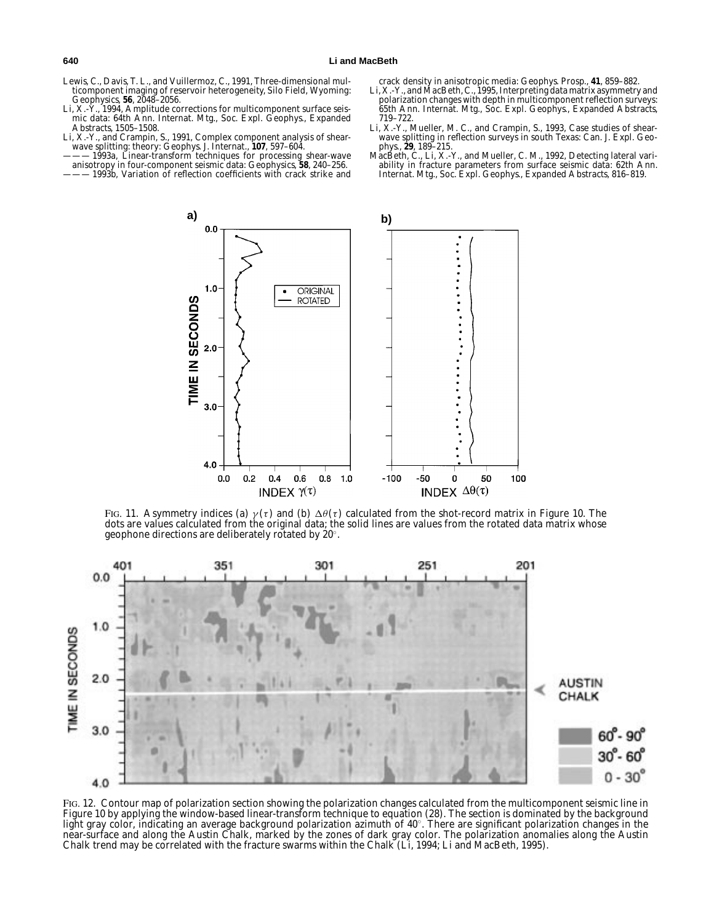- Lewis, C., Davis, T. L., and Vuillermoz, C., 1991, Three-dimensional multicomponent imaging of reservoir heterogeneity, Silo Field, Wyoming: Geophysics, **56**, 2048–2056.
- Li, X.-Y., 1994, Amplitude corrections for multicomponent surface seismic data: 64th Ann. Internat. Mtg., Soc. Expl. Geophys., Expanded Abstracts, 1505–1508.
- Li, X.-Y., and Crampin, S., 1991, Complex component analysis of shear-wave splitting: theory: Geophys. J. Internat., **107**, 597–604.
- ——— 1993a, Linear-transform techniques for processing shear-wave anisotropy in four-component seismic data: Geophysics, **58**, 240–256.
- 1993b, Variation of reflection coefficients with crack strike and

- crack density in anisotropic media: Geophys. Prosp., **41**, 859–882. Li, X.-Y., and MacBeth, C., 1995, Interpreting data matrix asymmetry and polarization changes with depth in multicomponent reflection surveys: 65th Ann. Internat. Mtg., Soc. Expl. Geophys., Expanded Abstracts, 719–722.
- Li, X.-Y., Mueller, M. C., and Crampin, S., 1993, Case studies of shearwave splitting in reflection surveys in south Texas: Can. J. Expl. Geo-phys., **29**, 189–215.
- MacBeth, C., Li, X.-Y., and Mueller, C. M., 1992, Detecting lateral variability in fracture parameters from surface seismic data: 62th Ann. Internat. Mtg., Soc. Expl. Geophys., Expanded Abstracts, 816–819.



FIG. 11. Asymmetry indices (a)  $\gamma(\tau)$  and (b)  $\Delta\theta(\tau)$  calculated from the shot-record matrix in Figure 10. The dots are values calculated from the original data; the solid lines are values from the rotated data matrix whose geophone directions are deliberately rotated by 20◦.



FIG. 12. Contour map of polarization section showing the polarization changes calculated from the multicomponent seismic line in Figure 10 by applying the window-based linear-transform technique to equation (28). The section is dominated by the background light gray color, indicating an average background polarization azimuth of 40◦. There are significant polarization changes in the near-surface and along the Austin Chalk, marked by the zones of dark gray color. The polarization anomalies along the Austin Chalk trend may be correlated with the fracture swarms within the Chalk (Li, 1994; Li and MacBeth, 1995).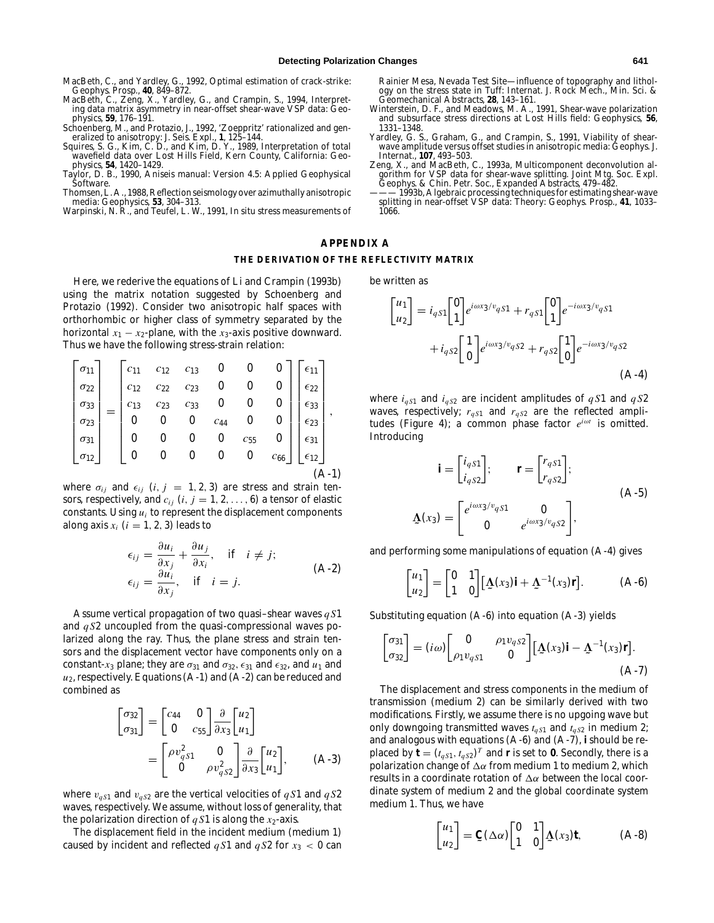MacBeth, C., and Yardley, G., 1992, Optimal estimation of crack-strike: Geophys. Prosp., **40**, 849–872.

- MacBeth, C., Zeng, X., Yardley, G., and Crampin, S., 1994, Interpreting data matrix asymmetry in near-offset shear-wave VSP data: Geophysics, **59**, 176–191.
- Schoenberg, M., and Protazio, J., 1992, 'Zoeppritz' rationalized and gen-
- eralized to anisotropy: J. Seis. Expl., **1**, 125–144. Squires, S. G., Kim, C. D., and Kim, D. Y., 1989, Interpretation of total wavefield data over Lost Hills Field, Kern County, California: Geophysics, **54**, 1420–1429.
- Taylor, D. B., 1990, Aniseis manual: Version 4.5: Applied Geophysical Software.
- Thomsen, L. A., 1988, Reflection seismology over azimuthally anisotropic media: Geophysics, **53**, 304–313.
- Warpinski, N. R., and Teufel, L. W., 1991, In situ stress measurements of

Rainier Mesa, Nevada Test Site—influence of topography and lithol-ogy on the stress state in Tuff: Internat. J. Rock Mech., Min. Sci. & Geomechanical Abstracts, **28**, 143–161.

- Winterstein, D. F., and Meadows, M. A., 1991, Shear-wave polarization and subsurface stress directions at Lost Hills field: Geophysics, **<sup>56</sup>**, 1331–1348.
- Yardley, G. S., Graham, G., and Crampin, S., 1991, Viability of shearwave amplitude versus offset studies in anisotropic media: Geophys. J. Internat., **107**, 493–503.
- Zeng, X., and MacBeth, C., 1993a, Multicomponent deconvolution algorithm for VSP data for shear-wave splitting. Joint Mtg. Soc. Expl. Geophys. & Chin. Petr. Soc., Expanded Abstracts, 479–482.
- 1993b, Algebraic processing techniques for estimating shear-wave splitting in near-offset VSP data: Theory: Geophys. Prosp., **41**, 1033– 1066.

## **APPENDIX A THE DERIVATION OF THE REFLECTIVITY MATRIX**

Here, we rederive the equations of Li and Crampin (1993b) using the matrix notation suggested by Schoenberg and Protazio (1992). Consider two anisotropic half spaces with orthorhombic or higher class of symmetry separated by the horizontal  $x_1 - x_2$ -plane, with the  $x_3$ -axis positive downward. Thus we have the following stress-strain relation:

$$
\begin{bmatrix}\n\sigma_{11} \\
\sigma_{22} \\
\sigma_{33} \\
\sigma_{23} \\
\sigma_{31} \\
\sigma_{12}\n\end{bmatrix} = \begin{bmatrix}\nc_{11} & c_{12} & c_{13} & 0 & 0 & 0 \\
c_{12} & c_{22} & c_{23} & 0 & 0 & 0 \\
c_{13} & c_{23} & c_{33} & 0 & 0 & 0 \\
0 & 0 & 0 & c_{44} & 0 & 0 \\
0 & 0 & 0 & 0 & c_{55} & 0 \\
0 & 0 & 0 & 0 & 0 & c_{66}\n\end{bmatrix} \begin{bmatrix}\n\epsilon_{11} \\
\epsilon_{22} \\
\epsilon_{33} \\
\epsilon_{31} \\
\epsilon_{12} \\
\epsilon_{12}\n\end{bmatrix},
$$
\n(A-1)

where  $\sigma_{ij}$  and  $\epsilon_{ij}$  (*i*, *j* = 1, 2, 3) are stress and strain tensors, respectively, and  $c_{ij}$  ( $i, j = 1, 2, \ldots, 6$ ) a tensor of elastic constants. Using *ui* to represent the displacement components along axis  $x_i$  ( $i = 1, 2, 3$ ) leads to

$$
\epsilon_{ij} = \frac{\partial u_i}{\partial x_j} + \frac{\partial u_j}{\partial x_i}, \quad \text{if} \quad i \neq j; \n\epsilon_{ij} = \frac{\partial u_i}{\partial x_j}, \quad \text{if} \quad i = j.
$$
\n(A-2)

Assume vertical propagation of two quasi–shear waves *q S*1 and *q S*2 uncoupled from the quasi-compressional waves polarized along the ray. Thus, the plane stress and strain tensors and the displacement vector have components only on a constant- $x_3$  plane; they are  $\sigma_{31}$  and  $\sigma_{32}$ ,  $\epsilon_{31}$  and  $\epsilon_{32}$ , and  $u_1$  and  $u_2$ , respectively. Equations  $(A-1)$  and  $(A-2)$  can be reduced and combined as

$$
\begin{bmatrix} \sigma_{32} \\ \sigma_{31} \end{bmatrix} = \begin{bmatrix} c_{44} & 0 \\ 0 & c_{55} \end{bmatrix} \frac{\partial}{\partial x_3} \begin{bmatrix} u_2 \\ u_1 \end{bmatrix}
$$

$$
= \begin{bmatrix} \rho v_{qS1}^2 & 0 \\ 0 & \rho v_{qS2}^2 \end{bmatrix} \frac{\partial}{\partial x_3} \begin{bmatrix} u_2 \\ u_1 \end{bmatrix}, \qquad (A-3)
$$

where  $v_{qS1}$  and  $v_{qS2}$  are the vertical velocities of  $qS1$  and  $qS2$ waves, respectively. We assume, without loss of generality, that the polarization direction of  $qS1$  is along the  $x_2$ -axis.

The displacement field in the incident medium (medium 1) caused by incident and reflected  $qS1$  and  $qS2$  for  $x_3 < 0$  can be written as

$$
\begin{bmatrix} u_1 \\ u_2 \end{bmatrix} = i_q s_1 \begin{bmatrix} 0 \\ 1 \end{bmatrix} e^{i\omega x_3/v_q s_1} + r_{q s_1} \begin{bmatrix} 0 \\ 1 \end{bmatrix} e^{-i\omega x_3/v_q s_1} + i_{q s_2} \begin{bmatrix} 1 \\ 0 \end{bmatrix} e^{i\omega x_3/v_q s_2} + r_{q s_2} \begin{bmatrix} 1 \\ 0 \end{bmatrix} e^{-i\omega x_3/v_q s_2}
$$
\n(A-4)

where  $i_{qS1}$  and  $i_{qS2}$  are incident amplitudes of  $qS1$  and  $qS2$ waves, respectively;  $r_{qS1}$  and  $r_{qS2}$  are the reflected amplitudes (Figure 4); a common phase factor *e<sup>i</sup>*ω*<sup>t</sup>* is omitted. Introducing

$$
\mathbf{i} = \begin{bmatrix} i_{qS1} \\ i_{qS2} \end{bmatrix}; \qquad \mathbf{r} = \begin{bmatrix} r_{qS1} \\ r_{qS2} \end{bmatrix};
$$
\n
$$
\mathbf{\Delta}(x_3) = \begin{bmatrix} e^{i\omega x_3/v_{qS1}} & \mathbf{0} \\ \mathbf{0} & e^{i\omega x_3/v_{qS2}} \end{bmatrix},
$$
\n(A-5)

and performing some manipulations of equation (A-4) gives

$$
\begin{bmatrix} u_1 \\ u_2 \end{bmatrix} = \begin{bmatrix} 0 & 1 \\ 1 & 0 \end{bmatrix} [\Delta(x_3) \mathbf{i} + \Delta^{-1}(x_3) \mathbf{r}]. \tag{A-6}
$$

Substituting equation (A-6) into equation (A-3) yields

$$
\begin{bmatrix} \sigma_{31} \\ \sigma_{32} \end{bmatrix} = (i\omega) \begin{bmatrix} 0 & \rho_1 v_{qS2} \\ \rho_1 v_{qS1} & 0 \end{bmatrix} \begin{bmatrix} \Delta(x_3) \mathbf{i} - \Delta^{-1}(x_3) \mathbf{r} \end{bmatrix}.
$$
\n(A-7)

The displacement and stress components in the medium of transmission (medium 2) can be similarly derived with two modifications. Firstly, we assume there is no upgoing wave but only downgoing transmitted waves *tq S*<sup>1</sup> and *tq S*<sup>2</sup> in medium 2; and analogous with equations (A-6) and (A-7), **i** should be replaced by  $\mathbf{t} = (t_{qS1}, t_{qS2})^T$  and **r** is set to **0**. Secondly, there is a polarization change of  $\Delta \alpha$  from medium 1 to medium 2, which results in a coordinate rotation of  $\Delta \alpha$  between the local coordinate system of medium 2 and the global coordinate system medium 1. Thus, we have

$$
\begin{bmatrix} u_1 \\ u_2 \end{bmatrix} = \mathbf{C}(\Delta \alpha) \begin{bmatrix} 0 & 1 \\ 1 & 0 \end{bmatrix} \Delta(x_3) \mathbf{t}, \tag{A-8}
$$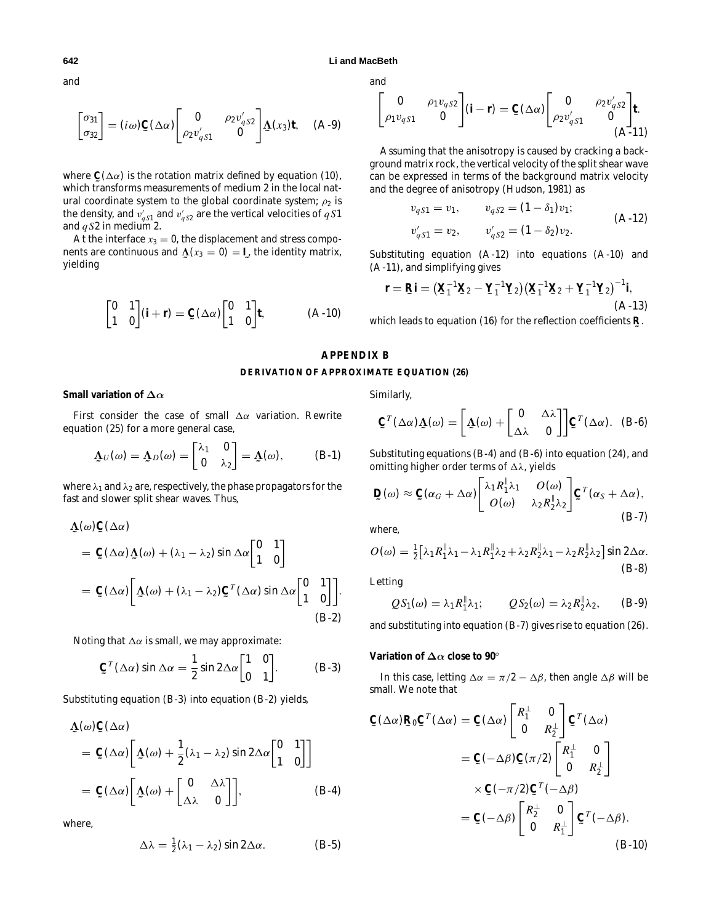and

$$
\begin{bmatrix} \sigma_{31} \\ \sigma_{32} \end{bmatrix} = (i\omega) \mathbf{C} (\Delta \alpha) \begin{bmatrix} 0 & \rho_2 v'_{qS2} \\ \rho_2 v'_{qS1} & 0 \end{bmatrix} \Delta (x_3) \mathbf{t}, \quad (A-9)
$$

where  $\mathbf{C}(\Delta \alpha)$  is the rotation matrix defined by equation (10), which transforms moasurements of modium 2 in the local nat which transforms measurements of medium 2 in the local natural coordinate system to the global coordinate system;  $\rho_2$  is the density, and  $v_{qS1}'$  and  $v_{qS2}'$  are the vertical velocities of  $q \, S1$ and *q S*2 in medium 2.

At the interface  $x_3 = 0$ , the displacement and stress components are continuous and  $\mathbf{\underline{\Lambda}}(x_3 = 0) = \mathbf{I}$ , the identity matrix, yielding

$$
\begin{bmatrix} 0 & 1 \\ 1 & 0 \end{bmatrix} (\mathbf{i} + \mathbf{r}) = \mathbf{C} (\Delta \alpha) \begin{bmatrix} 0 & 1 \\ 1 & 0 \end{bmatrix} \mathbf{t}, \tag{A-10}
$$

and

$$
\begin{bmatrix} 0 & \rho_1 v_{qS2} \\ \rho_1 v_{qS1} & 0 \end{bmatrix} (\mathbf{i} - \mathbf{r}) = \mathbf{C} (\Delta \alpha) \begin{bmatrix} 0 & \rho_2 v'_{qS2} \\ \rho_2 v'_{qS1} & 0 \end{bmatrix} \mathbf{t}.
$$
 (A-11)

Assuming that the anisotropy is caused by cracking a background matrix rock, the vertical velocity of the split shear wave can be expressed in terms of the background matrix velocity and the degree of anisotropy (Hudson, 1981) as

$$
v_{qS1} = v_1, \t v_{qS2} = (1 - \delta_1)v_1;
$$
  
\n
$$
v'_{qS1} = v_2, \t v'_{qS2} = (1 - \delta_2)v_2.
$$
\t(A-12)

Substituting equation (A-12) into equations (A-10) and (A-11), and simplifying gives

$$
\mathbf{r} = \mathbf{R}\mathbf{i} = (\mathbf{X}_1^{-1}\mathbf{X}_2 - \mathbf{Y}_1^{-1}\mathbf{Y}_2)(\mathbf{X}_1^{-1}\mathbf{X}_2 + \mathbf{Y}_1^{-1}\mathbf{Y}_2)^{-1}\mathbf{i},
$$
\n(A-13)

which leads to equation (16) for the reflection coefficients **˜ R**.

## **APPENDIX B DERIVATION OF APPROXIMATE EQUATION (26)**

## **Small variation of ∆***α*

First consider the case of small  $\Delta \alpha$  variation. Rewrite equation (25) for a more general case,

$$
\underline{\Lambda}_U(\omega) = \underline{\Lambda}_D(\omega) = \begin{bmatrix} \lambda_1 & 0 \\ 0 & \lambda_2 \end{bmatrix} = \underline{\Lambda}(\omega), \quad (B-1)
$$

where  $\lambda_1$  and  $\lambda_2$  are, respectively, the phase propagators for the fast and slower split shear waves. Thus,

$$
\begin{split} \underline{\Lambda}(\omega) \underline{\mathbf{C}}(\Delta \alpha) \\ &= \underline{\mathbf{C}}(\Delta \alpha) \underline{\Lambda}(\omega) + (\lambda_1 - \lambda_2) \sin \Delta \alpha \begin{bmatrix} 0 & 1 \\ 1 & 0 \end{bmatrix} \\ &= \underline{\mathbf{C}}(\Delta \alpha) \bigg[ \underline{\Lambda}(\omega) + (\lambda_1 - \lambda_2) \underline{\mathbf{C}}^T(\Delta \alpha) \sin \Delta \alpha \begin{bmatrix} 0 & 1 \\ 1 & 0 \end{bmatrix} \bigg]. \end{split} \tag{B-2}
$$

Noting that  $\Delta \alpha$  is small, we may approximate:

$$
\mathbf{C}^T(\Delta \alpha) \sin \Delta \alpha = \frac{1}{2} \sin 2\Delta \alpha \begin{bmatrix} 1 & 0 \\ 0 & 1 \end{bmatrix}.
$$
 (B-3)

Substituting equation (B-3) into equation (B-2) yields,

$$
\begin{split} \n\Delta(\omega) \mathbf{C}(\Delta \alpha) \\ \n&= \mathbf{C}(\Delta \alpha) \bigg[ \Delta(\omega) + \frac{1}{2} (\lambda_1 - \lambda_2) \sin 2 \Delta \alpha \begin{bmatrix} 0 & 1 \\ 1 & 0 \end{bmatrix} \bigg] \\ \n&= \mathbf{C}(\Delta \alpha) \bigg[ \Delta(\omega) + \begin{bmatrix} 0 & \Delta \lambda \\ \Delta \lambda & 0 \end{bmatrix} \bigg], \n\end{split} \n\tag{B-4}
$$

where,

$$
\Delta\lambda = \frac{1}{2}(\lambda_1 - \lambda_2)\sin 2\Delta\alpha. \tag{B-5}
$$

Similarly,

$$
\mathbf{C}^T(\Delta \alpha) \mathbf{\Delta}(\omega) = \begin{bmatrix} \mathbf{\Delta}(\omega) + \begin{bmatrix} 0 & \Delta \lambda \\ \Delta \lambda & 0 \end{bmatrix} \end{bmatrix} \mathbf{C}^T(\Delta \alpha). \quad (B-6)
$$

Substituting equations (B-4) and (B-6) into equation (24), and omitting higher order terms of  $\Delta\lambda$ , yields

$$
\mathbf{D}(\omega) \approx \mathbf{C}(\alpha_G + \Delta \alpha) \begin{bmatrix} \lambda_1 R_1^{\parallel} \lambda_1 & O(\omega) \\ O(\omega) & \lambda_2 R_2^{\parallel} \lambda_2 \end{bmatrix} \mathbf{C}^T (\alpha_S + \Delta \alpha),
$$
\n(B-7)

where,

$$
O(\omega) = \frac{1}{2} \Big[ \lambda_1 R_1^{\parallel} \lambda_1 - \lambda_1 R_1^{\parallel} \lambda_2 + \lambda_2 R_2^{\parallel} \lambda_1 - \lambda_2 R_2^{\parallel} \lambda_2 \Big] \sin 2\Delta \alpha.
$$
\n(B-8)

Letting

$$
QS_1(\omega) = \lambda_1 R_1^{\parallel} \lambda_1; \qquad QS_2(\omega) = \lambda_2 R_2^{\parallel} \lambda_2, \qquad (B-9)
$$

and substituting into equation (B-7) gives rise to equation (26).

## **Variation of ∆***α* **close to 90***◦*

In this case, letting  $\Delta \alpha = \pi/2 - \Delta \beta$ , then angle  $\Delta \beta$  will be small. We note that

$$
\mathbf{C}(\Delta\alpha)\mathbf{R}_0\mathbf{C}^T(\Delta\alpha) = \mathbf{C}(\Delta\alpha)\begin{bmatrix} R_1^{\perp} & 0 \\ 0 & R_2^{\perp} \end{bmatrix}\mathbf{C}^T(\Delta\alpha)
$$

$$
= \mathbf{C}(-\Delta\beta)\mathbf{C}(\pi/2)\begin{bmatrix} R_1^{\perp} & 0 \\ 0 & R_2^{\perp} \end{bmatrix}
$$

$$
\times \mathbf{C}(-\pi/2)\mathbf{C}^T(-\Delta\beta)
$$

$$
= \mathbf{C}(-\Delta\beta)\begin{bmatrix} R_2^{\perp} & 0 \\ 0 & R_1^{\perp} \end{bmatrix}\mathbf{C}^T(-\Delta\beta).
$$
(B-10)